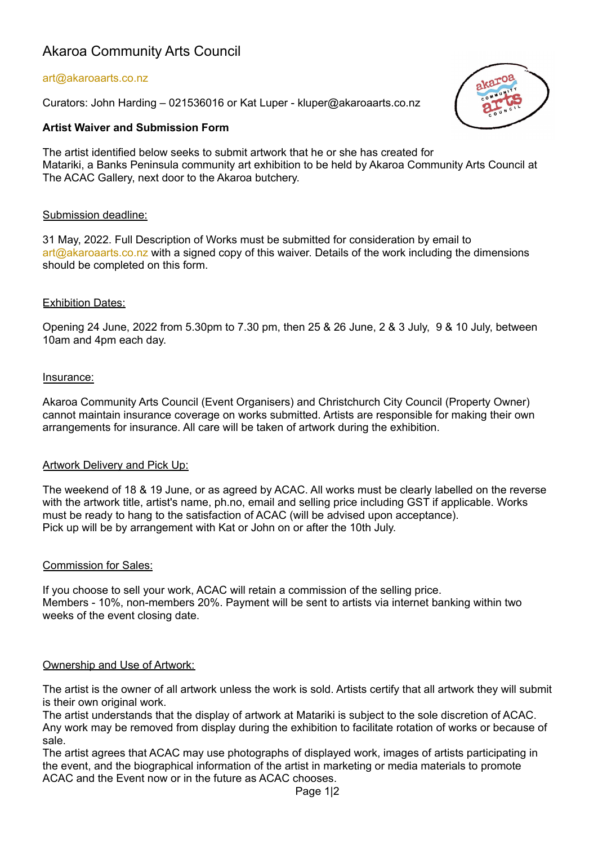# Akaroa Community Arts Council

## art@akaroaarts.co.nz

Curators: John Harding – 021536016 or Kat Luper - kluper@akaroaarts.co.nz

## **Artist Waiver and Submission Form**

akaroa

The artist identified below seeks to submit artwork that he or she has created for Matariki, a Banks Peninsula community art exhibition to be held by Akaroa Community Arts Council at The ACAC Gallery, next door to the Akaroa butchery.

## Submission deadline:

31 May, 2022. Full Description of Works must be submitted for consideration by email to art@akaroaarts.co.nz with a signed copy of this waiver. Details of the work including the dimensions should be completed on this form.

#### Exhibition Dates:

Opening 24 June, 2022 from 5.30pm to 7.30 pm, then 25 & 26 June, 2 & 3 July, 9 & 10 July, between 10am and 4pm each day.

#### Insurance:

Akaroa Community Arts Council (Event Organisers) and Christchurch City Council (Property Owner) cannot maintain insurance coverage on works submitted. Artists are responsible for making their own arrangements for insurance. All care will be taken of artwork during the exhibition.

## Artwork Delivery and Pick Up:

The weekend of 18 & 19 June, or as agreed by ACAC. All works must be clearly labelled on the reverse with the artwork title, artist's name, ph.no, email and selling price including GST if applicable. Works must be ready to hang to the satisfaction of ACAC (will be advised upon acceptance). Pick up will be by arrangement with Kat or John on or after the 10th July.

#### Commission for Sales:

If you choose to sell your work, ACAC will retain a commission of the selling price. Members - 10%, non-members 20%. Payment will be sent to artists via internet banking within two weeks of the event closing date.

## Ownership and Use of Artwork:

The artist is the owner of all artwork unless the work is sold. Artists certify that all artwork they will submit is their own original work.

The artist understands that the display of artwork at Matariki is subject to the sole discretion of ACAC. Any work may be removed from display during the exhibition to facilitate rotation of works or because of sale.

The artist agrees that ACAC may use photographs of displayed work, images of artists participating in the event, and the biographical information of the artist in marketing or media materials to promote ACAC and the Event now or in the future as ACAC chooses.